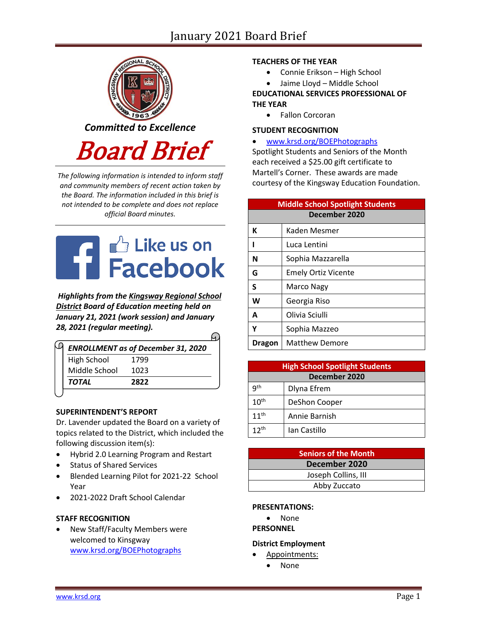# January 2021 Board Brief



*The following information is intended to inform staff and community members of recent action taken by the Board. The information included in this brief is not intended to be complete and does not replace official Board minutes.*

# **THE CONTROLL FRAGE DESCRIPTION AND READER**

*Highlights from the [Kingsway Regional School](https://www.facebook.com/KingswayDragons)  [District](https://www.facebook.com/KingswayDragons) Board of Education meeting held on January 21, 2021 (work session) and January 28, 2021 (regular meeting).*

|               | <b>ENROLLMENT as of December 31, 2020</b> |
|---------------|-------------------------------------------|
| High School   | 1799                                      |
| Middle School | 1023                                      |
| <b>TOTAL</b>  | 2822                                      |

### **SUPERINTENDENT'S REPORT**

Dr. Lavender updated the Board on a variety of topics related to the District, which included the following discussion item(s):

- Hybrid 2.0 Learning Program and Restart
- Status of Shared Services
- Blended Learning Pilot for 2021-22 School Year
- 2021-2022 Draft School Calendar

### **STAFF RECOGNITION**

New Staff/Faculty Members were welcomed to Kinsgway [www.krsd.org/BOEPhotographs](https://www.krsd.org/site/default.aspx?PageType=3&ModuleInstanceID=4485&ViewID=94B66785-F3F0-41A8-8414-1E55691D3E9E&RenderLoc=0&FlexDataID=7243&PageID=1303)

### **TEACHERS OF THE YEAR**

- Connie Erikson High School
- Jaime Lloyd Middle School

# **EDUCATIONAL SERVICES PROFESSIONAL OF THE YEAR**

• Fallon Corcoran

### **STUDENT RECOGNITION**

### • [www.krsd.org/BOEPhotographs](https://www.krsd.org/site/default.aspx?PageType=3&ModuleInstanceID=4484&ViewID=94B66785-F3F0-41A8-8414-1E55691D3E9E&RenderLoc=0&FlexDataID=7258&PageID=1303)

Spotlight Students and Seniors of the Month each received a \$25.00 gift certificate to Martell's Corner. These awards are made courtesy of the Kingsway Education Foundation.

| <b>Middle School Spotlight Students</b> |                            |  |
|-----------------------------------------|----------------------------|--|
|                                         | December 2020              |  |
| К                                       | Kaden Mesmer               |  |
|                                         | Luca Lentini               |  |
| N                                       | Sophia Mazzarella          |  |
| G                                       | <b>Emely Ortiz Vicente</b> |  |
| S                                       | Marco Nagy                 |  |
| W                                       | Georgia Riso               |  |
| A                                       | Olivia Sciulli             |  |
|                                         | Sophia Mazzeo              |  |
| Dragon                                  | <b>Matthew Demore</b>      |  |

| <b>High School Spotlight Students</b> |               |  |
|---------------------------------------|---------------|--|
| December 2020                         |               |  |
| qth                                   | Dlyna Efrem   |  |
| $10^{\text{th}}$                      | DeShon Cooper |  |
| $11^{th}$                             | Annie Barnish |  |
| 1 ว <sup>th</sup>                     | Ian Castillo  |  |

| Seniors of the Month |
|----------------------|
| December 2020        |
| Joseph Collins, III  |
| Abby Zuccato         |

### **PRESENTATIONS:**

• None

### **PERSONNEL**

### **District Employment**

- Appointments:
	- None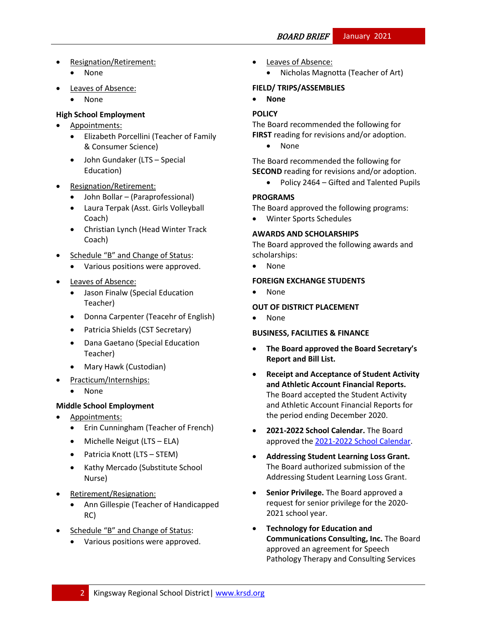• Resignation/Retirement:

# • None

- **Leaves of Absence:** 
	- None

# **High School Employment**

- Appointments:
	- Elizabeth Porcellini (Teacher of Family & Consumer Science)
	- John Gundaker (LTS Special Education)
- Resignation/Retirement:
	- John Bollar (Paraprofessional)
	- Laura Terpak (Asst. Girls Volleyball Coach)
	- Christian Lynch (Head Winter Track Coach)
- Schedule "B" and Change of Status:
	- Various positions were approved.
- **Leaves of Absence:** 
	- Jason Finalw (Special Education Teacher)
	- Donna Carpenter (Teacehr of English)
	- Patricia Shields (CST Secretary)
	- Dana Gaetano (Special Education Teacher)
	- Mary Hawk (Custodian)
- Practicum/Internships:
	- None

# **Middle School Employment**

- Appointments:
	- Erin Cunningham (Teacher of French)
	- Michelle Neigut (LTS ELA)
	- Patricia Knott (LTS STEM)
	- Kathy Mercado (Substitute School Nurse)
- Retirement/Resignation:
	- Ann Gillespie (Teacher of Handicapped RC)
- Schedule "B" and Change of Status:
	- Various positions were approved.
- Leaves of Absence:
	- Nicholas Magnotta (Teacher of Art)

# **FIELD/ TRIPS/ASSEMBLIES**

• **None**

# **[POLICY](http://www.straussesmay.com/seportal/Public/DistrictPolicyTOC.aspx?id=f0cc945ef3894b8d9ad5f87d948ca425&PolicyID=)**

The Board recommended the following for **FIRST** reading for revisions and/or adoption.

• None

The Board recommended the following for **SECOND** reading for revisions and/or adoption.

• Policy 2464 – Gifted and Talented Pupils

# **PROGRAMS**

The Board approved the following programs:

• Winter Sports Schedules

# **AWARDS AND SCHOLARSHIPS**

The Board approved the following awards and scholarships:

• None

### **FOREIGN EXCHANGE STUDENTS**

• None

# **OUT OF DISTRICT PLACEMENT**

• None

### **BUSINESS, FACILITIES & FINANCE**

- **The Board approved the Board Secretary's Report and Bill List.**
- **Receipt and Acceptance of Student Activity and Athletic Account Financial Reports.**  The Board accepted the Student Activity and Athletic Account Financial Reports for the period ending December 2020.
- **2021-2022 School Calendar.** The Board approved th[e 2021-2022 School Calendar.](https://www.krsd.org/Page/1920)
- **Addressing Student Learning Loss Grant.** The Board authorized submission of the Addressing Student Learning Loss Grant.
- **Senior Privilege.** The Board approved a request for senior privilege for the 2020- 2021 school year.
- **Technology for Education and Communications Consulting, Inc.** The Board approved an agreement for Speech Pathology Therapy and Consulting Services